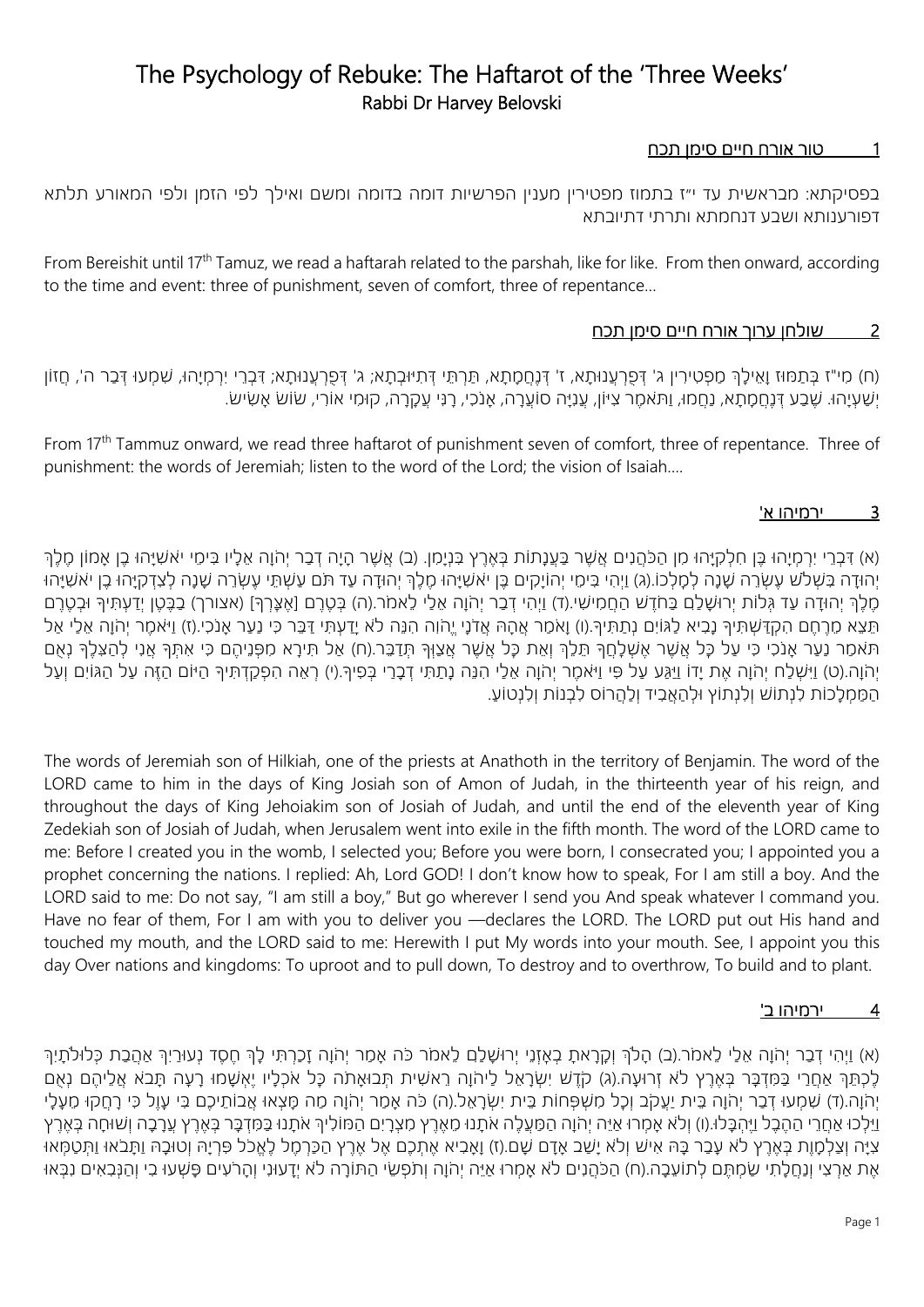## The Psychology of Rebuke: The Haftarot of the 'Three Weeks' Rabbi Dr Harvey Belovski

## 1 טור אורח חיים סימן תכח

בפסיקתא: מבראשית עד י״ז בתמוז מפטירין מענין הפרשיות דומה בדומה ומשם ואילך לפי הזמן ולפי המאורע תלתא דפורענותא ושבע דנחמתא ותרתי דתיובתא

From Bereishit until 17<sup>th</sup> Tamuz, we read a haftarah related to the parshah, like for like. From then onward, according to the time and event: three of punishment, seven of comfort, three of repentance…

## 2 שולחן ערוך אורח חיים סימן תכח

(ח) מִי"ז בְּתַמּוּז וָאֵילָךְ מַפְטִירִין ג' דְּפָרְעֲנוּתָא, ז' דְּנֶחֲמָתָא, תַּרְתֵּי דְּתִיּוּבְתָא; ג' דְּפָרְעֲנוּתָא; דִּבְרֵי יִרְמִיָהוּ, שִׁמְעוּ דְּבַר ה', חֵזוֹן יִשַׁעְיָהוּ. שֵׁבַע דְּנֵחֲמָתָא, נַחֲמוּ, וַתּאמֶר צִיּוֹן, עֵנְיָּה סוֹעֲרָה, אָנֹכִי, רָנִי עֲמֶרָה, קוּמִי אוֹרִי, שׂוֹשׂ אָשִׂישׂ.

From 17<sup>th</sup> Tammuz onward, we read three haftarot of punishment seven of comfort, three of repentance. Three of punishment: the words of Jeremiah; listen to the word of the Lord; the vision of Isaiah….

## 3 ירמיהו א'

(א) דִּבְרֵי יִרְמָיַהוּ בֵּן חְלָקָיַהוּ מָן הַכֹּהֲנִים אֲשֶׁר בַּעֲנַתוֹת בִּאֶרֶץ בָּנְיַמָן. (ב) אֲשֶׁר הַיַה דָּבָר יְהֹוֵה אֶלָיו בִּימֶי יֹאשִׁיַּהוּ בֵן אַמוֹן מֶלֶךְ יְהוּדַה בִּשְׁלֹש עֶשְׂרֶה שַׁנָה לְסָלְכוֹ.(ג) וַיִּהִי בִּימָי יְהוֹיַקִים בֵּן יאשִׁיַּהוּ סֶלֶךְ יְהוּדַה עַד תֹּם עַשְׁתֵּי עֶשְׂרֶה שַׁנָה לְצָדְקָיַהוּ בֵן יאשָׁיַהוּ ֶמ ָלֶךְ יְהוּדָה עַד גְּלוֹת יְרוּשַׁלֵם בַּחֹדָשׁ הַחֲמִישָׁי.(ד) וַיְהִי דָּבַר יְהֹוֶה אֶלֶי לֵאמֹר.(ה) בַּטֶרֶם [אֶצַרְךָּ] (אצורך) בַּבֵּטֶן יִדַעְתִּיךָ וּבָטֶרֶם תֵּצֵא מֶרֵחֵם הִקְדַּשְׁתִּיךְ נָבִיא לַגּוֹיִם נִתַתִּיךְ (ו) וָאֹמַר אֲהָהּ אֲדֹנָי יֵהֹוָה הָנֵה לֹא יָדַעְתִּי דַּבֵּר כִּי נַעַר אָנֹכִי (ז) וַיֹּאמֶר יְהֹוֶה אֶלַי אַל ּתֹּאמר נַעַר אֲנֹכִי כִּי עַל כַּל אֲשֶׁר אֵשְׁלַחֲךָּ תֵּלֵךְ וְאֶת כַּל אֲשֶׁר אֲצַוּךָ תְּדַבֵּר.(ח) אֲל תִּירָא מִפָּנֶיהֶם כִּי אִתְּךָּ אֲנִי לְהַצָּלֶךְּ נִאְם יְהֹוַה.(ט) וַיִּשְׁלַח יְהֹוֵה אֶת יַדוֹ וַיַּגֵּע עַל פִּי וַיֹּאמֶר יְהֹוֵה אֶלֶי הְנֵה נַתֲתִּי דְּבָרֵי בִּפִיךָּ.(י) רָאֶה הְפָקָדְתִּיךָּ הַיּוֹם הָזֶה עַל הַגּוֹיִם וְעַל הַמַּמְלָכוֹת לְנָתוֹשׁ וְלִנְתוֹץ וּלְהָאֱבִיד וְלַהֲרוֹס לְבָנוֹת וְלָנְטוֹעָ.

The words of Jeremiah son of Hilkiah, one of the priests at Anathoth in the territory of Benjamin. The word of the LORD came to him in the days of King Josiah son of Amon of Judah, in the thirteenth year of his reign, and throughout the days of King Jehoiakim son of Josiah of Judah, and until the end of the eleventh year of King Zedekiah son of Josiah of Judah, when Jerusalem went into exile in the fifth month. The word of the LORD came to me: Before I created you in the womb, I selected you; Before you were born, I consecrated you; I appointed you a prophet concerning the nations. I replied: Ah, Lord GOD! I don't know how to speak, For I am still a boy. And the LORD said to me: Do not say, "I am still a boy," But go wherever I send you And speak whatever I command you. Have no fear of them, For I am with you to deliver you —declares the LORD. The LORD put out His hand and touched my mouth, and the LORD said to me: Herewith I put My words into your mouth. See, I appoint you this day Over nations and kingdoms: To uproot and to pull down, To destroy and to overthrow, To build and to plant.

## 4 ירמיהו ב'

ַ (א) וַיְהִי דָּבָר יְהֹוֵה אֶלֵי לֵאמֹר.(ב) הַלֹךְ וְקָרָאת בָאָזְנֵי יְרוּשַׁלַָם לֶאמֹר כֹּה אָמָר יְהֹוַה זַכָרְתִּי לַךְ חֵסֶד נְעוּרַיִךְ אַהֲבָת כָּלוּלֹתַיִךְ ֶלְכָתֵּךְ אַחֲרֵי בַּמִּדְבֵּר בִּאֶרֶץ לֹא זְרוּעָה.(ג) קֹדֵשׁ יִשְׂרַאֶל לַיהֹוָה רֵאשִׁית תִּבוּאַתֹה כָּל אֹכְלַיו יֵאֲשָׁמוּ רַעָה תַּבֹא אֱלֶיהֶם נָאָם יהֹוה.(ד) שׁמעוּ דבר יהוֹה בֵּית יעקב וכל משׁפּחוֹת בֵּית ישׂראל.(ה) כֵּה אמר יהוֹה מה מַצְאוּ אבוֹתיכם בֵּי עול כִּי רחקוּ מעלי וֵילְכוּ אֶחֱרֵי הַהֶּבֶל וֵיִהְבַּלוּ (ו) וְלֹא אַמְרוּ אַיֵּה יְהֹוָה הַמָּעֱלֶה אֹתָנוּ מָאֶרֵץ מִצְרַיִם הַמּוֹלְיךָ אֹתָנוּ בַּמִּדְבַּר בִּאֶרֶץ עֲרָבָה וְשׁוּחַה בָּאֶרֶץ ַ צִיּה וצלמות בַּארץ לֹא עבר בַּהּ אישׁ ולֹא ישׁב אדם שׁם.(ז) ואביא אתכם אל ארץ הכּרמל לאכֹל פּריהּ וטוּבהּ ותּבֹאוּ ותּטמּאוּ ָּאֶת אַרצִי וְנַחֲלַתִי שַׂמְתֵּם לְתוֹעֲבָה.(ח) הַכֹּהֲנִים לֹא אַמְרוּ אֵיֵּה יְהֹוֵה וְתֹפָשֶׂי הַתּוֹרָה לֹא יִדַעוּנִי וְהַרֹעִים פַּשָׁעוּ בִי וְהַנִּבְאִים נִבָּאוּ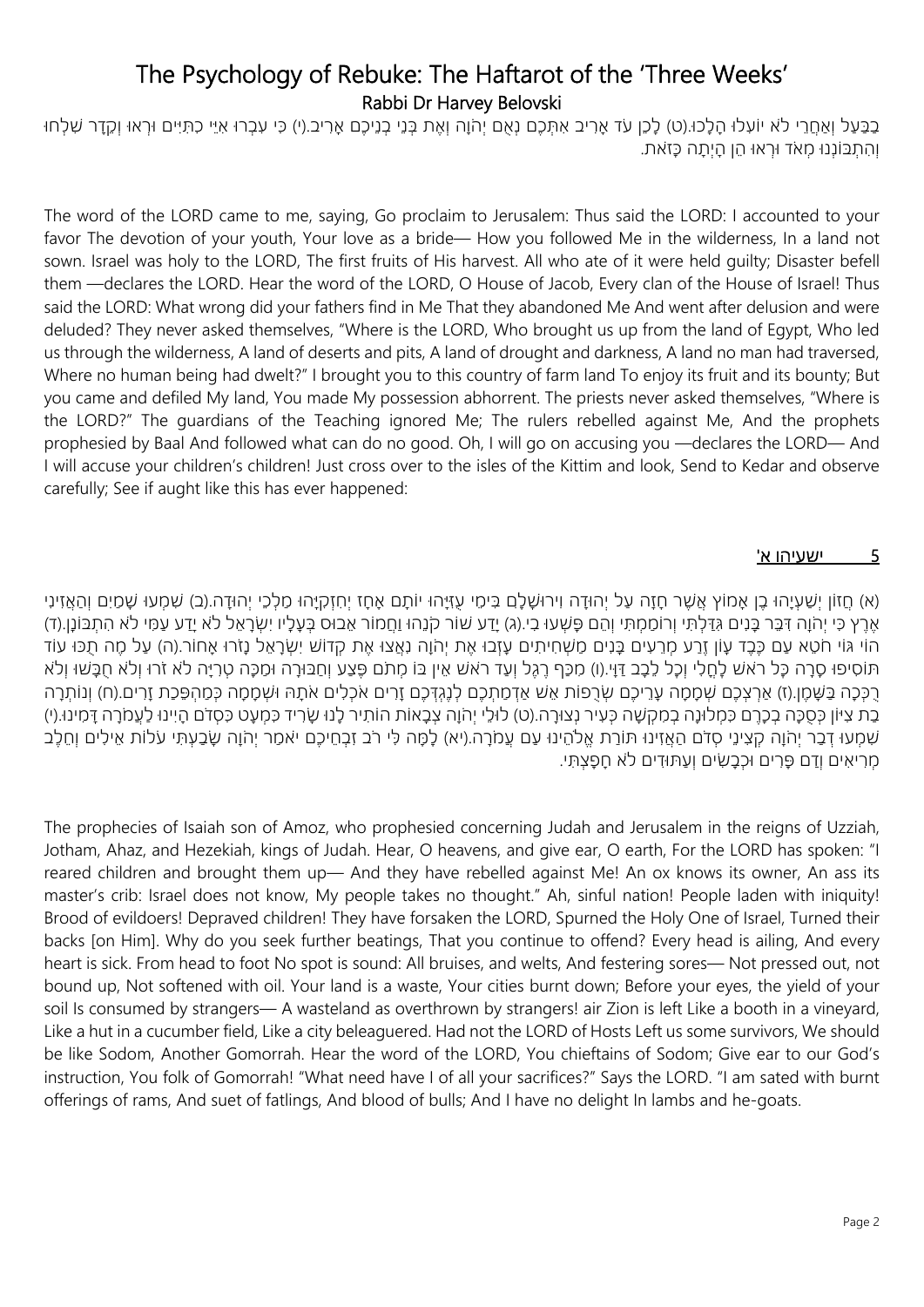# The Psychology of Rebuke: The Haftarot of the 'Three Weeks' Rabbi Dr Harvey Belovski

ַבְּבַּעַל וְאַחֵרֵי לֹא יוֹעְלוּ הָלָכוּ.(ט) לָכֵן עֹד אָרִיב אִתְּכֶם נִאָם יְהֹוֶה וְאֵת בְּנֵי בְנֵיכֶם אָרִיב.(י) כִּי עִבְרוּ אִיֵּי כָתִיִּים וּרְאוּ וְקֶדָר שִׁלְחוּ ְו ִה ְת ְבּוֹנ ְ נוּ מ ֹא ְ ד וּר ֵ אוּ ה ָ ן הְי ָת ָה כּזֹאת.

The word of the LORD came to me, saying, Go proclaim to Jerusalem: Thus said the LORD: I accounted to your favor The devotion of your youth, Your love as a bride— How you followed Me in the wilderness, In a land not sown. Israel was holy to the LORD, The first fruits of His harvest. All who ate of it were held guilty; Disaster befell them —declares the LORD. Hear the word of the LORD, O House of Jacob, Every clan of the House of Israel! Thus said the LORD: What wrong did your fathers find in Me That they abandoned Me And went after delusion and were deluded? They never asked themselves, "Where is the LORD, Who brought us up from the land of Egypt, Who led us through the wilderness, A land of deserts and pits, A land of drought and darkness, A land no man had traversed, Where no human being had dwelt?" I brought you to this country of farm land To enjoy its fruit and its bounty; But you came and defiled My land, You made My possession abhorrent. The priests never asked themselves, "Where is the LORD?" The guardians of the Teaching ignored Me; The rulers rebelled against Me, And the prophets prophesied by Baal And followed what can do no good. Oh, I will go on accusing you —declares the LORD— And I will accuse your children's children! Just cross over to the isles of the Kittim and look, Send to Kedar and observe carefully; See if aught like this has ever happened:

## 5 ישעיהו א'

(א) חֲזוֹן יְשַׁעְיָהוּ בֶן אָמוֹץ אֲשֶׁר חָזָה עַל יְהוּדָה וִירוּשָׁלָם בִּימֵי עֻזָּיָהוּ יוֹתָם אָחָז יִחִזְקִיָּהוּ מלכֵי יִהוּדָה.(ב) שִׁמִעוּ שַׁמַיִם וְהַאֵזִינִי אֶרֵץ כִּי יִהֹוֶה דָּבֵר כָּנִים גִּדַּלְתִּי וְרוֹמָמִתִּי וְהֵם פָּשִׁעוּ כִי.(ג) יָדַע שׁוֹר קֹנֶהוּ וַחֲמוֹר אֶבוּס כִּעָלָיו יִשְׂרָאֵל לֹא יָדַע עַמִּי לֹא הִתְבּוֹנָן.(ד) ֿהוֹי גּוֹי חֹטֵא עַם כֶּבֶד עָוֹן זֵרַע מִרֵעִים כָּנִים מַשְׁחִיתִים עָזָבוּ אֵת יְהֹוֶה נְאֲצוּ אֵת קָדוֹשׁ יִשְׂרָאֵל נָזֹרוּ אָחוֹר.(ה) עַל מָה תָכּוּ עוֹד תּוֹסִיפוּ סָרָה כָּל רֹאשׁ לָחֱלִי וְכָל לֵבָב דַּוָּי.(ו) מִכַּף רֶגֶל וְעַד רֹאשׁ אֵין בּוֹ מִתֹם פֶּצַע וְחַבּוּרָה וּמַכָּה טְרִיָּה לֹא זֹרוּ וְלֹא חֻבָּשׁוּ וְלֹא ָרְכָּכָה בַּשַּׁמָן.(ז) אַרְצָכֶם שְׁמָמָה עָרֶיכֶם שְׂרָפוֹת אֵשׁ אַדְמָתְכֶם לְנֵגְדָּכֶם זַרִים אֹכָלְים אֹתָהּ וּשְׁמָמָה כָּמְהִפֶּכֶת זַרִים.(ח) וְנוֹתְרַה ַּבַת צִיּוֹן כְּסֻכָּה בְכָרֶם כִּמְלוּנָה בְמִקְשָׁה כְּעִיר נְצוּרָה.(ט) לוּלֵי יְהֹוָה צְבָאוֹת הוֹתִיר לָנוּ שָׂרִיד כִּמְעָט כִּסְדֹם הָיִינוּ לַעֲמֹרָה דָּמִינוּ.(י) ֹשִׁמְעוּ דָּבַר יְהֹוָה קָצִינֵי סָדֹם הַאֵזִינוּ תּוֹרַת אֱלֹהֵינוּ עַם עֵמֹרָה.(יא) לָמָה לִי רֹב זָבְחֵיכֶם יֹאמַר יִהֹוֶה שָׂבַעִתִּי עֹלוֹת אֵילִים וְחֵלֵב ְמִרִיאִים וַדַם פַּרִים וּכְבָשִׂים וְעַתּוּדִים לֹא חַפַּצְתִּי.

The prophecies of Isaiah son of Amoz, who prophesied concerning Judah and Jerusalem in the reigns of Uzziah, Jotham, Ahaz, and Hezekiah, kings of Judah. Hear, O heavens, and give ear, O earth, For the LORD has spoken: "I reared children and brought them up— And they have rebelled against Me! An ox knows its owner, An ass its master's crib: Israel does not know, My people takes no thought." Ah, sinful nation! People laden with iniquity! Brood of evildoers! Depraved children! They have forsaken the LORD, Spurned the Holy One of Israel, Turned their backs [on Him]. Why do you seek further beatings, That you continue to offend? Every head is ailing, And every heart is sick. From head to foot No spot is sound: All bruises, and welts, And festering sores— Not pressed out, not bound up, Not softened with oil. Your land is a waste, Your cities burnt down; Before your eyes, the yield of your soil Is consumed by strangers— A wasteland as overthrown by strangers! air Zion is left Like a booth in a vineyard, Like a hut in a cucumber field, Like a city beleaguered. Had not the LORD of Hosts Left us some survivors, We should be like Sodom, Another Gomorrah. Hear the word of the LORD, You chieftains of Sodom; Give ear to our God's instruction, You folk of Gomorrah! "What need have I of all your sacrifices?" Says the LORD. "I am sated with burnt offerings of rams, And suet of fatlings, And blood of bulls; And I have no delight In lambs and he-goats.